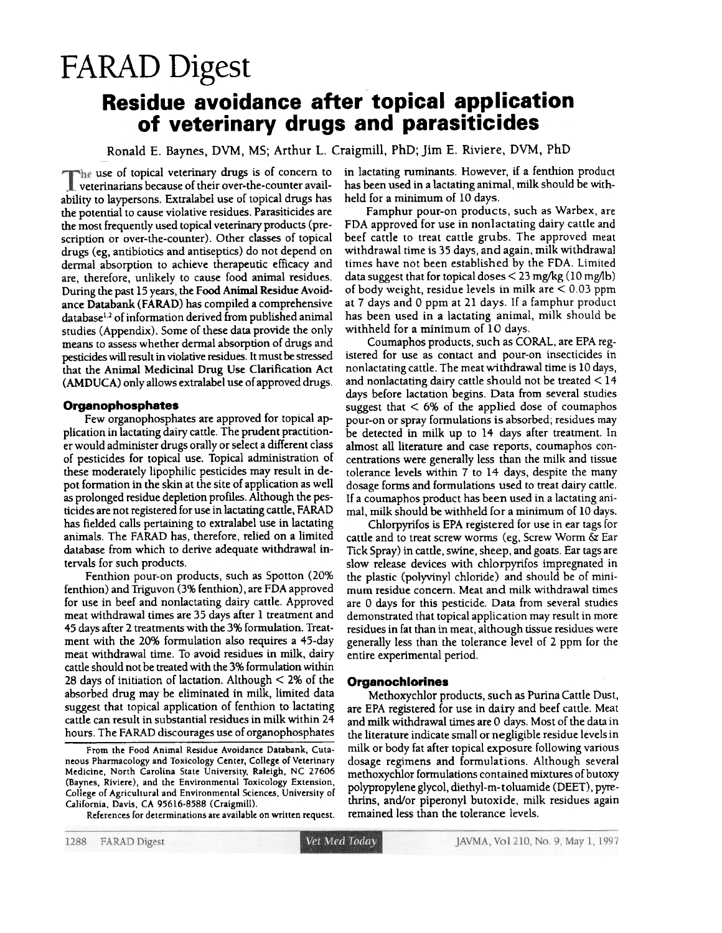# FARAD Digest

# Residue avoidance after topical application of veterinary drugs and parasiticides

Ronald E. Baynes, DVM, MS; Arthur L. Craigmill, PhD; Jim E. Riviere, DVM, PhD

The use of topical veterinary drugs is of concern to veterinarians because of their over-the-counter availability to laypersons. Extralabel use of topical drugs has the potential to cause violative residues. Parasiticides are the most frequently used topical veterinary products (prescription or over-the-counter). Other classes of topical drugs (eg, antibiotics and antiseptics) do not depend on dermal absorption to achieve therapeutic efficacy and are, therefore, unlikely to cause food animal residues. During the past 15 years, the Food Animal Residue Avoidance Databank (FARAD) has compiled a comprehensive database<sup>1,2</sup> of information derived from published animal studies (Appendix). Some of these data provide the only means to assess whether dermal absorption of drugs and pesticides will result in violative residues. It must be stressed that the Animal Medicinal Drug Use Clarification Act (AMDUCA) only allows extralabel use of approved drugs.

# Organophosphates

Few organophosphates are approved for topical application in lactating dairy cattle. The prudent practitioner would administer drugs orally or select a different class of pesticides for topical use. Topical administtation of these moderately lipophilic pesticides may result in depot formation in the skin at the site of application as well as prolonged residue depletion profiles. Although the pesticides are not registered for use in lactating cattle, FARAD has fielded calls pertaining to extralabel use in lactating animals. The FARAD has, therefore, relied on a limited database from which to derive adequate withdrawal intervals for such products.

Fenthion pour-on products, such as Spotton (20% fenthion) and Triguvon (3% fenthion), are FDA approved for use in beef and nonlactating dairy cattle. Approved meat withdrawal times are 35 days after 1 treatment and 45 days after 2 treatments with the 3% formulation. Treatment with the 20% formulation also requires a 45-day meat withdrawal time. To avoid residues in milk, dairy cattle should not be treated with the 3% formulation within 28 days of initiation of lactation. Although < 2% of the absorbed drug may be eliminated in milk, limited data suggest that topical application of fenthion to lactating cattle can result in substantial residues in milk within 24 hours. The FARAD discourages use of organophosphates

From the Food Animal Residue Avoidance Databank, Cutaneous Pharmacology and Toxicology Center, College of Veterinary Medicine, North Carolina State University, Raleigh, NC 27606 (Baynes, Riviere), and the Environmental Toxicology Extension, College of Agricultural and Environmental Sciences, University of California, Davis, CA 95616-8588 (Craigmill).

References for determinations are available on written request.

in lactating ruminants. However, if a fenthion product has been used in a lactating animal, milk should be withheld for a minimum of 10 days.

Famphur pour-on products, such as Warbex, are FDA approved for use in nonlactating dairy cattle and beef cattle to treat cattle grubs. The approved meat withdrawal time is 35 days, and again, milk withdrawal times have not been established by the FDA. limited data suggest that for topical doses  $\leq$  23 mg/kg (10 mg/lb) of body weight, residue levels in milk are < 0.03 ppm at 7 days and 0 ppm at 21 days. If a famphur product has been used in a lactating animal, milk should be withheld for a minimum of 10 days.

Coumaphos products, such as CORAL. are EPA registered for use as contact and pour-on insecticides in nonlactating cattle. The meat withdrawal time is 10 days, and nonlactating dairy cattle should not be treated  $\leq$  14 days before lactation begins. Data from several studies suggest that  $< 6\%$  of the applied dose of coumaphos pour-on or spray fonnulations is absorbed; residues may be detected in milk up to 14 days after treatment. In almost all literature and case reports, coumaphos concentrations were generally less than the milk and tissue tolerance levels within 7 to 14 days, despite the many dosage forms and formulations used to treat dairy cattle. If a coumaphos product has been used in a lactating animal, milk should be withheld for a minimum of 10 days.

Chlorpyrifos is EPA registered for use in ear tags for cattle and to treat screw worms (eg, Screw Worm & Ear Tick Spray) in cattle, swine, sheep, and goats. Ear tags are slow release devices with chlorpyrifos impregnated in the plastic (polyvinyl chloride) and should be of minimum residue concern. Meat and milk withdrawal times are 0 days for this pesticide. Data from several studies demonstrated that topical application may result in more residues in fat than in meat, although tissue residues were genetally less than the tolerance level of 2 ppm for the entire experimental period.

### **Organochlorines**

Methoxychlor products, such as Purina Cattle Dust, are EPA registered for use in dairy and beef cattle. Meat and milk withdrawal times are 0 days. Most of the data in the literature indicate small or negligible residue levels in milk or body fat after topical exposure following various dosage regimens and formulations. Although several methoxychlor formulations contained mixtures of butoxy po1ypropylene glycol. diethyl-m-toluamide (DEET), pyrethrins, and/or piperonyl butoxide, milk residues again remained less than the tolerance levels.